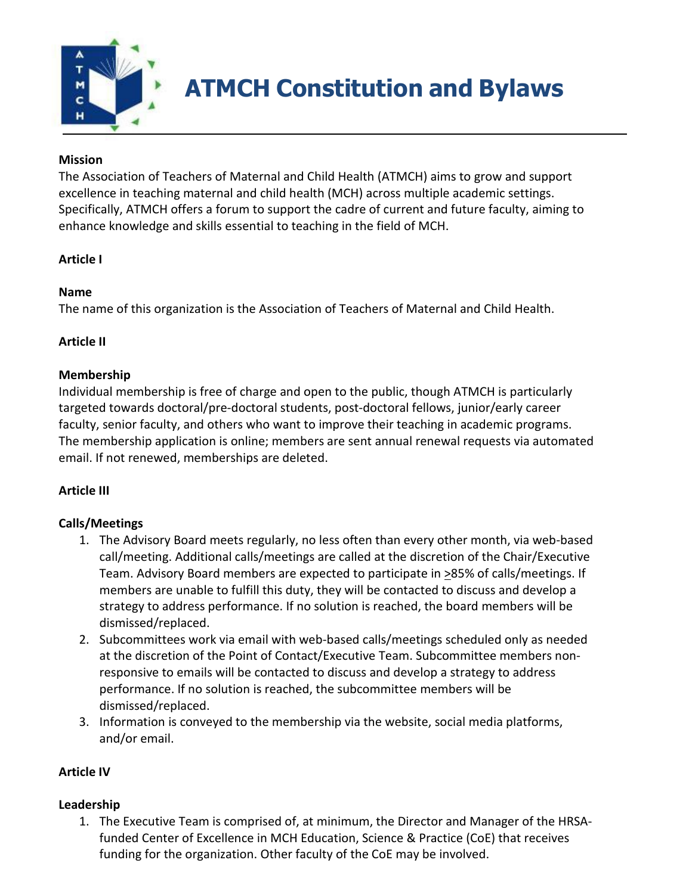

**ATMCH Constitution and Bylaws**

#### **Mission**

The Association of Teachers of Maternal and Child Health (ATMCH) aims to grow and support excellence in teaching maternal and child health (MCH) across multiple academic settings. Specifically, ATMCH offers a forum to support the cadre of current and future faculty, aiming to enhance knowledge and skills essential to teaching in the field of MCH.

#### **Article I**

#### **Name**

The name of this organization is the Association of Teachers of Maternal and Child Health.

#### **Article II**

#### **Membership**

Individual membership is free of charge and open to the public, though ATMCH is particularly targeted towards doctoral/pre-doctoral students, post-doctoral fellows, junior/early career faculty, senior faculty, and others who want to improve their teaching in academic programs. The membership application is online; members are sent annual renewal requests via automated email. If not renewed, memberships are deleted.

### **Article III**

### **Calls/Meetings**

- 1. The Advisory Board meets regularly, no less often than every other month, via web-based call/meeting. Additional calls/meetings are called at the discretion of the Chair/Executive Team. Advisory Board members are expected to participate in >85% of calls/meetings. If members are unable to fulfill this duty, they will be contacted to discuss and develop a strategy to address performance. If no solution is reached, the board members will be dismissed/replaced.
- 2. Subcommittees work via email with web-based calls/meetings scheduled only as needed at the discretion of the Point of Contact/Executive Team. Subcommittee members nonresponsive to emails will be contacted to discuss and develop a strategy to address performance. If no solution is reached, the subcommittee members will be dismissed/replaced.
- 3. Information is conveyed to the membership via the website, social media platforms, and/or email.

### **Article IV**

### **Leadership**

1. The Executive Team is comprised of, at minimum, the Director and Manager of the HRSAfunded Center of Excellence in MCH Education, Science & Practice (CoE) that receives funding for the organization. Other faculty of the CoE may be involved.